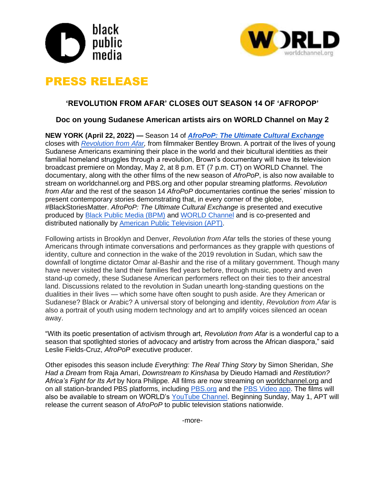



# PRESS RELEASE

## **'REVOLUTION FROM AFAR' CLOSES OUT SEASON 14 OF 'AFROPOP'**

## **Doc on young Sudanese American artists airs on WORLD Channel on May 2**

**NEW YORK (April 22, 2022) —** Season 14 of *[AfroPoP: The Ultimate Cultural Exchange](https://worldchannel.org/show/afropop/)* closes with *[Revolution from Afar,](https://worldchannel.org/episode/revolution-from-afar/)* from filmmaker Bentley Brown. A portrait of the lives of young Sudanese Americans examining their place in the world and their bicultural identities as their familial homeland struggles through a revolution, Brown's documentary will have its television broadcast premiere on Monday, May 2, at 8 p.m. ET (7 p.m. CT) on WORLD Channel. The documentary, along with the other films of the new season of *AfroPoP*, is also now available to stream on worldchannel.org and PBS.org and other popular streaming platforms. *Revolution from Afar* and the rest of the season 14 *AfroPoP* documentaries continue the series' mission to present contemporary stories demonstrating that, in every corner of the globe, #BlackStoriesMatter. *AfroPoP: The Ultimate Cultural Exchange* is presented and executive produced by [Black Public Media \(BPM\)](https://blackpublicmedia.org/) and [WORLD Channel](https://worldchannel.org/) and is co-presented and distributed nationally by [American Public Television \(APT\).](https://www.aptonline.org/)

Following artists in Brooklyn and Denver, *Revolution from Afar* tells the stories of these young Americans through intimate conversations and performances as they grapple with questions of identity, culture and connection in the wake of the 2019 revolution in Sudan, which saw the downfall of longtime dictator Omar al-Bashir and the rise of a military government. Though many have never visited the land their families fled years before, through music, poetry and even stand-up comedy, these Sudanese American performers reflect on their ties to their ancestral land. Discussions related to the revolution in Sudan unearth long-standing questions on the dualities in their lives — which some have often sought to push aside. Are they American or Sudanese? Black or Arabic? A universal story of belonging and identity, *Revolution from Afar* is also a portrait of youth using modern technology and art to amplify voices silenced an ocean away.

"With its poetic presentation of activism through art, *Revolution from Afar* is a wonderful cap to a season that spotlighted stories of advocacy and artistry from across the African diaspora," said Leslie Fields-Cruz, *AfroPoP* executive producer.

Other episodes this season include *Everything: The Real Thing Story* by Simon Sheridan, *She Had a Dream* from Raja Amari, *Downstream to Kinshasa* by Dieudo Hamadi and *Restitution? Africa's Fight for Its Art* by Nora Philippe*.* All films are now streaming on [worldchannel.org](https://worldchannel.org/show/afropop/) and on all station-branded PBS platforms, including [PBS.org](http://pbs.org/) and the [PBS Video app.](https://www.pbs.org/pbs-video-app/) The films will also be available to stream on WORLD's [YouTube Channel.](https://www.youtube.com/c/WORLDChannel) Beginning Sunday, May 1, APT will release the current season of *AfroPoP* to public television stations nationwide.

-more-